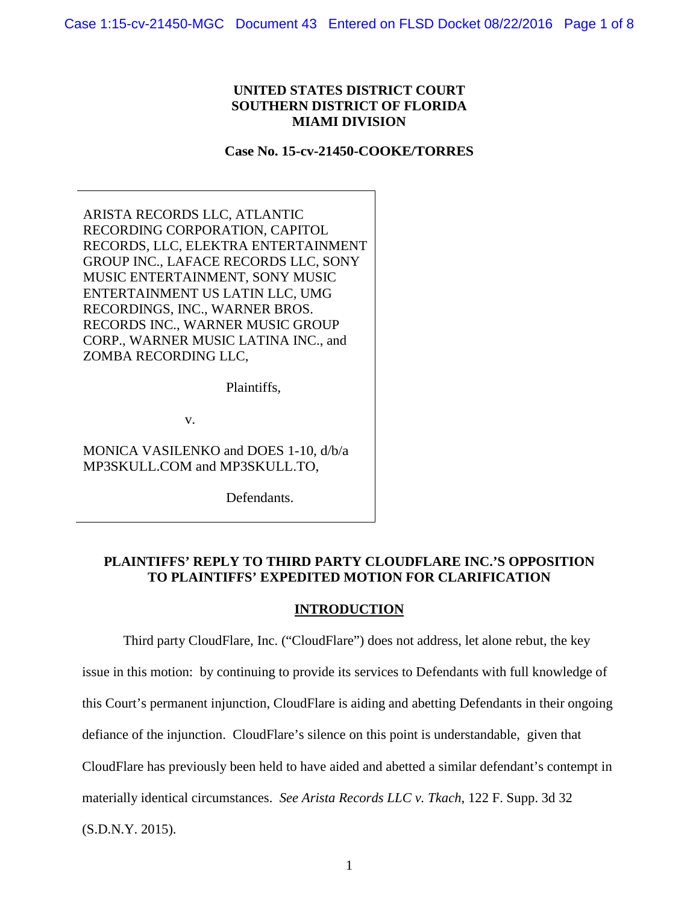### **UNITED STATES DISTRICT COURT SOUTHERN DISTRICT OF FLORIDA MIAMI DIVISION**

### **Case No. 15-cv-21450-COOKE/TORRES**

ARISTA RECORDS LLC, ATLANTIC RECORDING CORPORATION, CAPITOL RECORDS, LLC, ELEKTRA ENTERTAINMENT GROUP INC., LAFACE RECORDS LLC, SONY MUSIC ENTERTAINMENT, SONY MUSIC ENTERTAINMENT US LATIN LLC, UMG RECORDINGS, INC., WARNER BROS. RECORDS INC., WARNER MUSIC GROUP CORP., WARNER MUSIC LATINA INC., and ZOMBA RECORDING LLC,

Plaintiffs,

v.

MONICA VASILENKO and DOES 1-10, d/b/a MP3SKULL.COM and MP3SKULL.TO,

Defendants.

# **PLAINTIFFS' REPLY TO THIRD PARTY CLOUDFLARE INC.'S OPPOSITION TO PLAINTIFFS' EXPEDITED MOTION FOR CLARIFICATION**

#### **INTRODUCTION**

Third party CloudFlare, Inc. ("CloudFlare") does not address, let alone rebut, the key issue in this motion: by continuing to provide its services to Defendants with full knowledge of this Court's permanent injunction, CloudFlare is aiding and abetting Defendants in their ongoing defiance of the injunction. CloudFlare's silence on this point is understandable, given that CloudFlare has previously been held to have aided and abetted a similar defendant's contempt in materially identical circumstances. *See Arista Records LLC v. Tkach*, 122 F. Supp. 3d 32 (S.D.N.Y. 2015).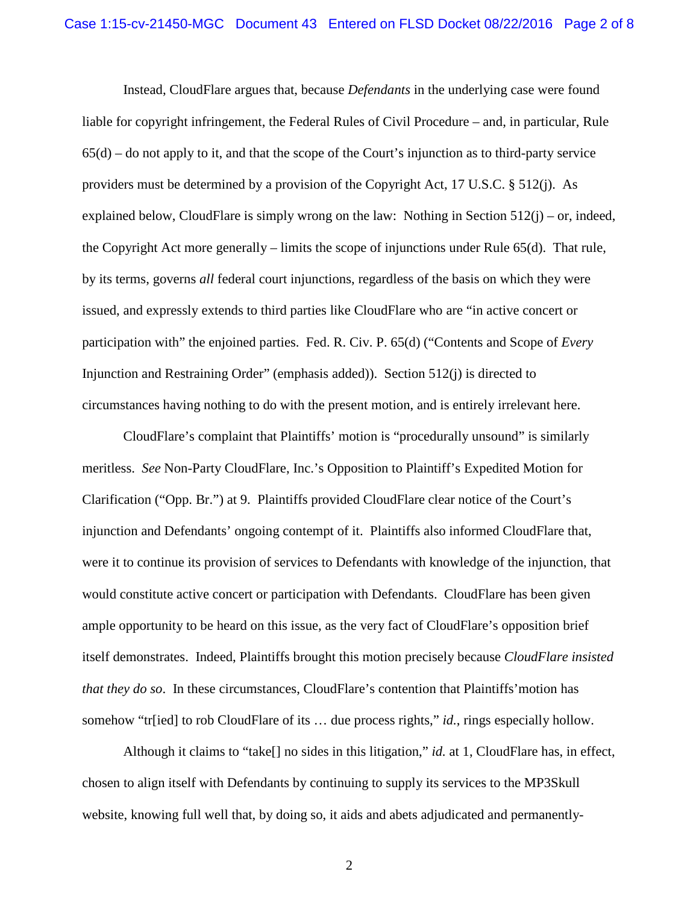Instead, CloudFlare argues that, because *Defendants* in the underlying case were found liable for copyright infringement, the Federal Rules of Civil Procedure – and, in particular, Rule  $65(d)$  – do not apply to it, and that the scope of the Court's injunction as to third-party service providers must be determined by a provision of the Copyright Act, 17 U.S.C. § 512(j). As explained below, CloudFlare is simply wrong on the law: Nothing in Section  $512(i)$  – or, indeed, the Copyright Act more generally – limits the scope of injunctions under Rule 65(d). That rule, by its terms, governs *all* federal court injunctions, regardless of the basis on which they were issued, and expressly extends to third parties like CloudFlare who are "in active concert or participation with" the enjoined parties. Fed. R. Civ. P. 65(d) ("Contents and Scope of *Every* Injunction and Restraining Order" (emphasis added)). Section 512(j) is directed to circumstances having nothing to do with the present motion, and is entirely irrelevant here.

CloudFlare's complaint that Plaintiffs' motion is "procedurally unsound" is similarly meritless. *See* Non-Party CloudFlare, Inc.'s Opposition to Plaintiff's Expedited Motion for Clarification ("Opp. Br.") at 9. Plaintiffs provided CloudFlare clear notice of the Court's injunction and Defendants' ongoing contempt of it. Plaintiffs also informed CloudFlare that, were it to continue its provision of services to Defendants with knowledge of the injunction, that would constitute active concert or participation with Defendants. CloudFlare has been given ample opportunity to be heard on this issue, as the very fact of CloudFlare's opposition brief itself demonstrates. Indeed, Plaintiffs brought this motion precisely because *CloudFlare insisted that they do so*. In these circumstances, CloudFlare's contention that Plaintiffs'motion has somehow "tr[ied] to rob CloudFlare of its … due process rights," *id.*, rings especially hollow.

Although it claims to "take[] no sides in this litigation," *id.* at 1, CloudFlare has, in effect, chosen to align itself with Defendants by continuing to supply its services to the MP3Skull website, knowing full well that, by doing so, it aids and abets adjudicated and permanently-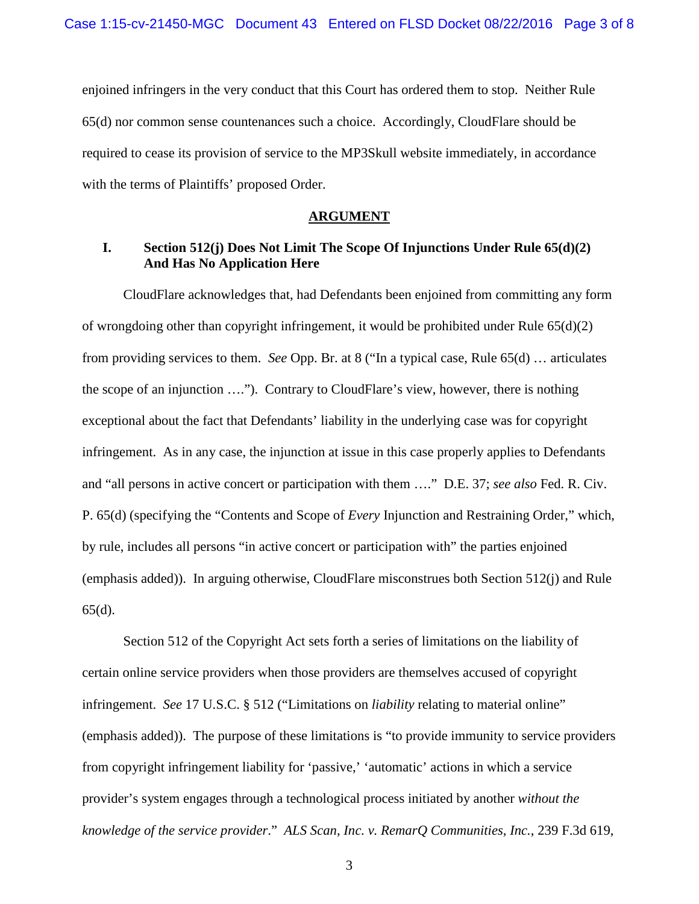enjoined infringers in the very conduct that this Court has ordered them to stop. Neither Rule 65(d) nor common sense countenances such a choice. Accordingly, CloudFlare should be required to cease its provision of service to the MP3Skull website immediately, in accordance with the terms of Plaintiffs' proposed Order.

### **ARGUMENT**

# **I. Section 512(j) Does Not Limit The Scope Of Injunctions Under Rule 65(d)(2) And Has No Application Here**

CloudFlare acknowledges that, had Defendants been enjoined from committing any form of wrongdoing other than copyright infringement, it would be prohibited under Rule 65(d)(2) from providing services to them. *See* Opp. Br. at 8 ("In a typical case, Rule 65(d) … articulates the scope of an injunction …."). Contrary to CloudFlare's view, however, there is nothing exceptional about the fact that Defendants' liability in the underlying case was for copyright infringement. As in any case, the injunction at issue in this case properly applies to Defendants and "all persons in active concert or participation with them …." D.E. 37; *see also* Fed. R. Civ. P. 65(d) (specifying the "Contents and Scope of *Every* Injunction and Restraining Order," which, by rule, includes all persons "in active concert or participation with" the parties enjoined (emphasis added)). In arguing otherwise, CloudFlare misconstrues both Section 512(j) and Rule 65(d).

Section 512 of the Copyright Act sets forth a series of limitations on the liability of certain online service providers when those providers are themselves accused of copyright infringement. *See* 17 U.S.C. § 512 ("Limitations on *liability* relating to material online" (emphasis added)). The purpose of these limitations is "to provide immunity to service providers from copyright infringement liability for 'passive,' 'automatic' actions in which a service provider's system engages through a technological process initiated by another *without the knowledge of the service provider*." *ALS Scan, Inc. v. RemarQ Communities, Inc.*, 239 F.3d 619,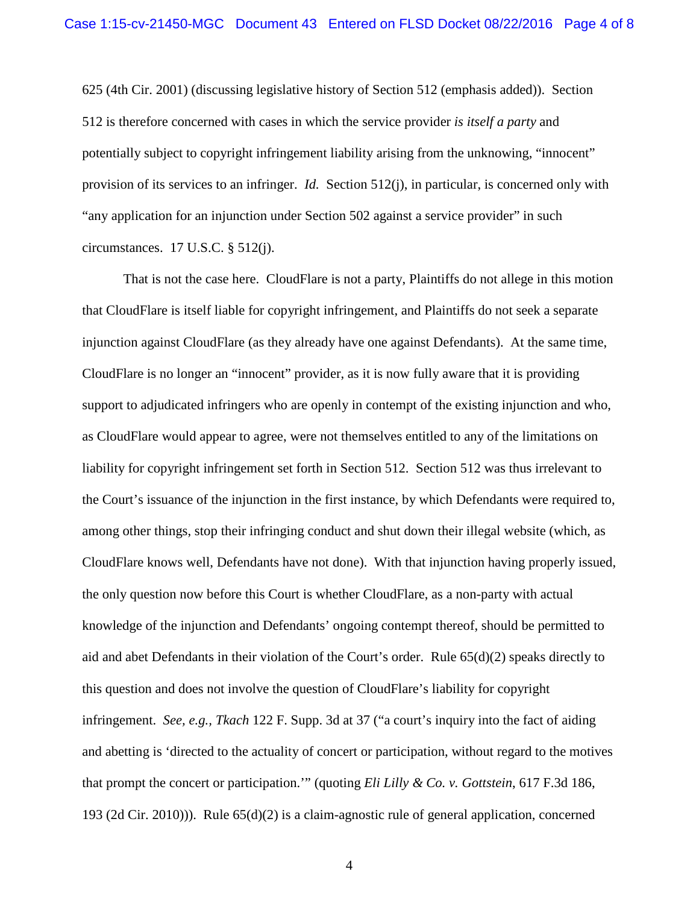625 (4th Cir. 2001) (discussing legislative history of Section 512 (emphasis added)). Section 512 is therefore concerned with cases in which the service provider *is itself a party* and potentially subject to copyright infringement liability arising from the unknowing, "innocent" provision of its services to an infringer. *Id.* Section 512(j), in particular, is concerned only with "any application for an injunction under Section 502 against a service provider" in such circumstances. 17 U.S.C. § 512(j).

That is not the case here. CloudFlare is not a party, Plaintiffs do not allege in this motion that CloudFlare is itself liable for copyright infringement, and Plaintiffs do not seek a separate injunction against CloudFlare (as they already have one against Defendants). At the same time, CloudFlare is no longer an "innocent" provider, as it is now fully aware that it is providing support to adjudicated infringers who are openly in contempt of the existing injunction and who, as CloudFlare would appear to agree, were not themselves entitled to any of the limitations on liability for copyright infringement set forth in Section 512. Section 512 was thus irrelevant to the Court's issuance of the injunction in the first instance, by which Defendants were required to, among other things, stop their infringing conduct and shut down their illegal website (which, as CloudFlare knows well, Defendants have not done). With that injunction having properly issued, the only question now before this Court is whether CloudFlare, as a non-party with actual knowledge of the injunction and Defendants' ongoing contempt thereof, should be permitted to aid and abet Defendants in their violation of the Court's order. Rule 65(d)(2) speaks directly to this question and does not involve the question of CloudFlare's liability for copyright infringement. *See, e.g., Tkach* 122 F. Supp. 3d at 37 ("a court's inquiry into the fact of aiding and abetting is 'directed to the actuality of concert or participation, without regard to the motives that prompt the concert or participation.'" (quoting *Eli Lilly & Co. v. Gottstein*, 617 F.3d 186, 193 (2d Cir. 2010))). Rule 65(d)(2) is a claim-agnostic rule of general application, concerned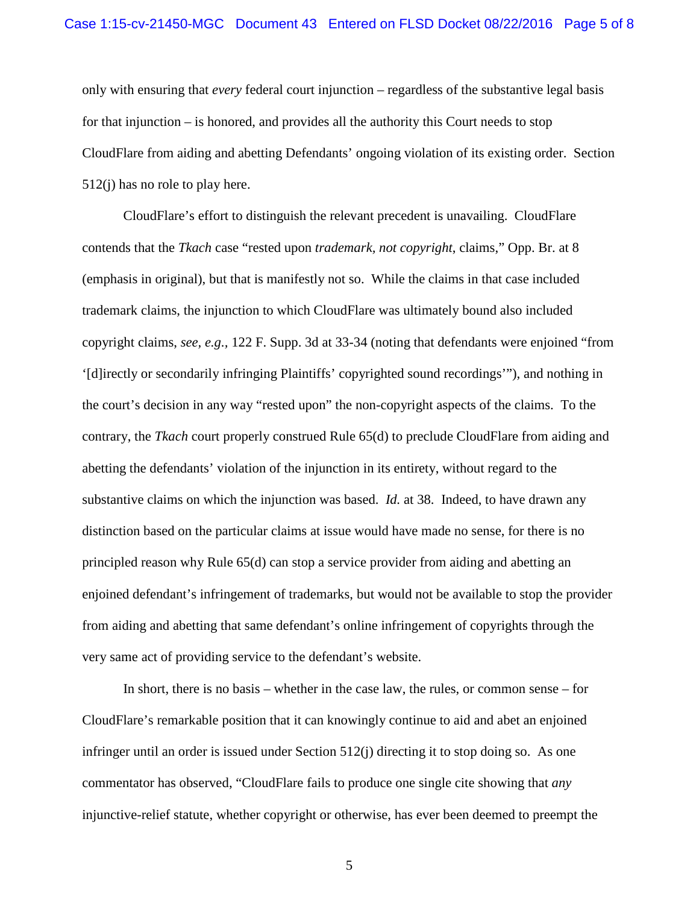only with ensuring that *every* federal court injunction – regardless of the substantive legal basis for that injunction – is honored, and provides all the authority this Court needs to stop CloudFlare from aiding and abetting Defendants' ongoing violation of its existing order. Section 512(j) has no role to play here.

CloudFlare's effort to distinguish the relevant precedent is unavailing. CloudFlare contends that the *Tkach* case "rested upon *trademark, not copyright*, claims," Opp. Br. at 8 (emphasis in original), but that is manifestly not so. While the claims in that case included trademark claims, the injunction to which CloudFlare was ultimately bound also included copyright claims, *see, e.g.,* 122 F. Supp. 3d at 33-34 (noting that defendants were enjoined "from '[d]irectly or secondarily infringing Plaintiffs' copyrighted sound recordings'"), and nothing in the court's decision in any way "rested upon" the non-copyright aspects of the claims. To the contrary, the *Tkach* court properly construed Rule 65(d) to preclude CloudFlare from aiding and abetting the defendants' violation of the injunction in its entirety, without regard to the substantive claims on which the injunction was based. *Id.* at 38. Indeed, to have drawn any distinction based on the particular claims at issue would have made no sense, for there is no principled reason why Rule 65(d) can stop a service provider from aiding and abetting an enjoined defendant's infringement of trademarks, but would not be available to stop the provider from aiding and abetting that same defendant's online infringement of copyrights through the very same act of providing service to the defendant's website.

In short, there is no basis – whether in the case law, the rules, or common sense – for CloudFlare's remarkable position that it can knowingly continue to aid and abet an enjoined infringer until an order is issued under Section 512(j) directing it to stop doing so. As one commentator has observed, "CloudFlare fails to produce one single cite showing that *any* injunctive-relief statute, whether copyright or otherwise, has ever been deemed to preempt the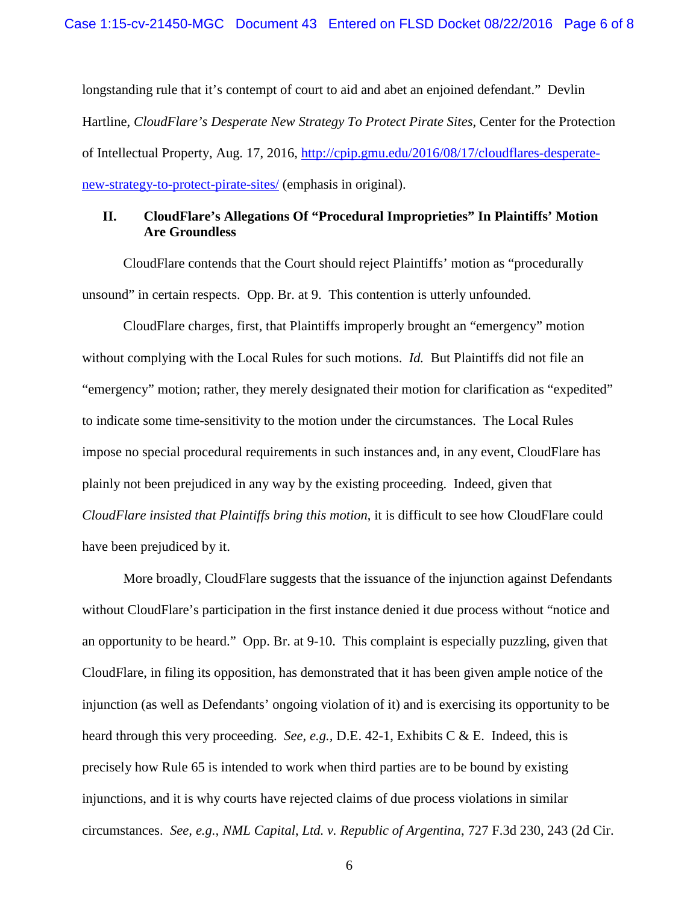longstanding rule that it's contempt of court to aid and abet an enjoined defendant." Devlin Hartline, *CloudFlare's Desperate New Strategy To Protect Pirate Sites*, Center for the Protection of Intellectual Property, Aug. 17, 2016, [http://cpip.gmu.edu/2016/08/17/cloudflares-desperate](http://cpip.gmu.edu/2016/08/17/cloudflares-desperate-new-strategy-to-protect-pirate-sites/)[new-strategy-to-protect-pirate-sites/](http://cpip.gmu.edu/2016/08/17/cloudflares-desperate-new-strategy-to-protect-pirate-sites/) (emphasis in original).

# **II. CloudFlare's Allegations Of "Procedural Improprieties" In Plaintiffs' Motion Are Groundless**

CloudFlare contends that the Court should reject Plaintiffs' motion as "procedurally unsound" in certain respects. Opp. Br. at 9. This contention is utterly unfounded.

CloudFlare charges, first, that Plaintiffs improperly brought an "emergency" motion without complying with the Local Rules for such motions. *Id.* But Plaintiffs did not file an "emergency" motion; rather, they merely designated their motion for clarification as "expedited" to indicate some time-sensitivity to the motion under the circumstances. The Local Rules impose no special procedural requirements in such instances and, in any event, CloudFlare has plainly not been prejudiced in any way by the existing proceeding. Indeed, given that *CloudFlare insisted that Plaintiffs bring this motion*, it is difficult to see how CloudFlare could have been prejudiced by it.

More broadly, CloudFlare suggests that the issuance of the injunction against Defendants without CloudFlare's participation in the first instance denied it due process without "notice and an opportunity to be heard." Opp. Br. at 9-10. This complaint is especially puzzling, given that CloudFlare, in filing its opposition, has demonstrated that it has been given ample notice of the injunction (as well as Defendants' ongoing violation of it) and is exercising its opportunity to be heard through this very proceeding. *See, e.g.,* D.E. 42-1, Exhibits C & E. Indeed, this is precisely how Rule 65 is intended to work when third parties are to be bound by existing injunctions, and it is why courts have rejected claims of due process violations in similar circumstances. *See, e.g., NML Capital*, *Ltd. v. Republic of Argentina*, 727 F.3d 230, 243 (2d Cir.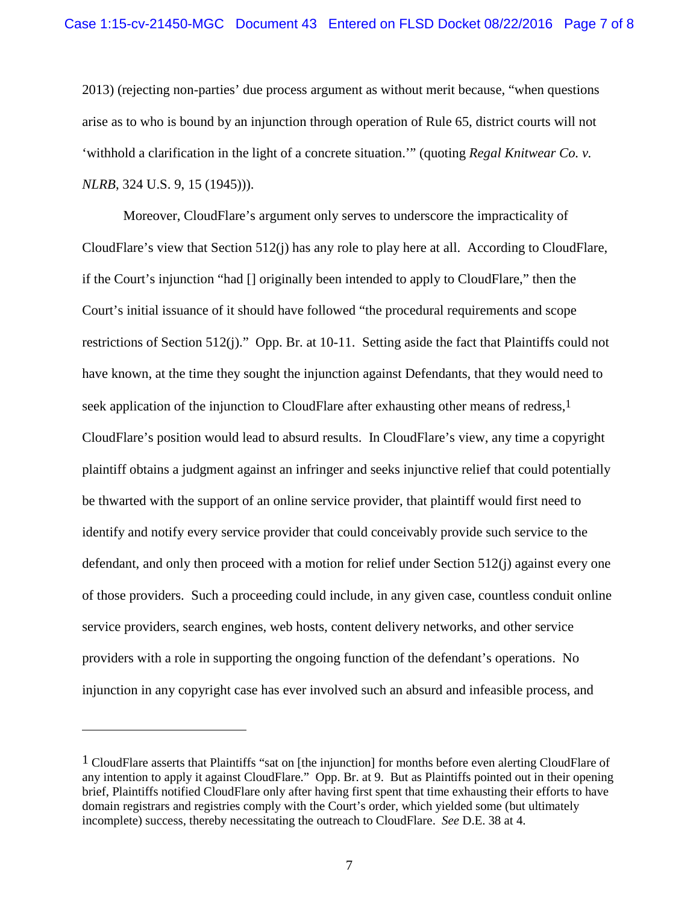2013) (rejecting non-parties' due process argument as without merit because, "when questions arise as to who is bound by an injunction through operation of Rule 65, district courts will not 'withhold a clarification in the light of a concrete situation.'" (quoting *Regal Knitwear Co. v. NLRB*, 324 U.S. 9, 15 (1945))).

Moreover, CloudFlare's argument only serves to underscore the impracticality of CloudFlare's view that Section 512(j) has any role to play here at all. According to CloudFlare, if the Court's injunction "had [] originally been intended to apply to CloudFlare," then the Court's initial issuance of it should have followed "the procedural requirements and scope restrictions of Section 512(j)." Opp. Br. at 10-11. Setting aside the fact that Plaintiffs could not have known, at the time they sought the injunction against Defendants, that they would need to seek application of the injunction to CloudFlare after exhausting other means of redress,<sup>[1](#page-6-0)</sup> CloudFlare's position would lead to absurd results. In CloudFlare's view, any time a copyright plaintiff obtains a judgment against an infringer and seeks injunctive relief that could potentially be thwarted with the support of an online service provider, that plaintiff would first need to identify and notify every service provider that could conceivably provide such service to the defendant, and only then proceed with a motion for relief under Section 512(j) against every one of those providers. Such a proceeding could include, in any given case, countless conduit online service providers, search engines, web hosts, content delivery networks, and other service providers with a role in supporting the ongoing function of the defendant's operations. No injunction in any copyright case has ever involved such an absurd and infeasible process, and

<span id="page-6-0"></span><sup>1</sup> CloudFlare asserts that Plaintiffs "sat on [the injunction] for months before even alerting CloudFlare of any intention to apply it against CloudFlare." Opp. Br. at 9. But as Plaintiffs pointed out in their opening brief, Plaintiffs notified CloudFlare only after having first spent that time exhausting their efforts to have domain registrars and registries comply with the Court's order, which yielded some (but ultimately incomplete) success, thereby necessitating the outreach to CloudFlare. *See* D.E. 38 at 4.